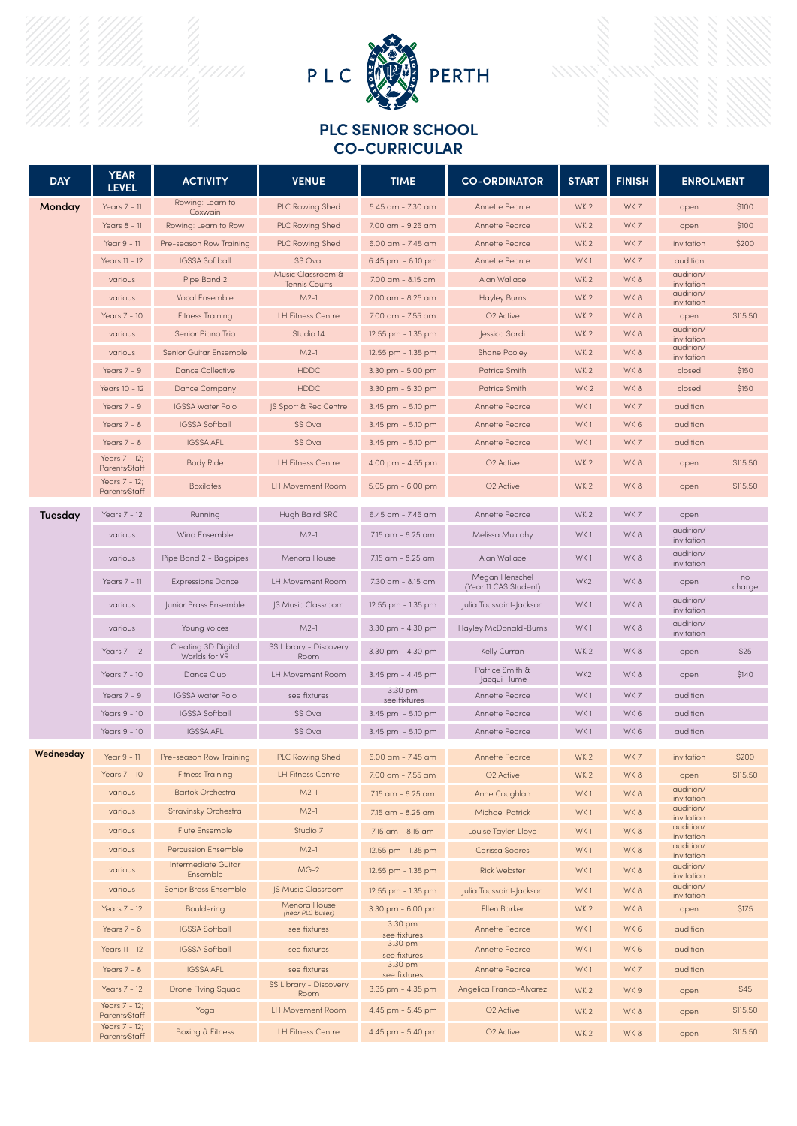



## **PLC SENIOR SCHOOL CO-CURRICULAR**

| <b>DAY</b> | <b>YEAR</b><br><b>LEVEL</b>                | <b>ACTIVITY</b>                      | <b>VENUE</b>                       | <b>TIME</b>             | <b>CO-ORDINATOR</b>                     | <b>START</b>           | <b>FINISH</b> | <b>ENROLMENT</b>               |              |
|------------|--------------------------------------------|--------------------------------------|------------------------------------|-------------------------|-----------------------------------------|------------------------|---------------|--------------------------------|--------------|
| Monday     | Years 7 - 11                               | Rowing: Learn to<br>Coxwain          | PLC Rowing Shed                    | 5.45 am - 7.30 am       | Annette Pearce                          | WK <sub>2</sub>        | WK7           | open                           | \$100        |
|            | Years 8 - 11                               | Rowing: Learn to Row                 | <b>PLC Rowing Shed</b>             | 7.00 am - 9.25 am       | Annette Pearce                          | WK <sub>2</sub>        | WK7           | open                           | \$100        |
|            | Year 9 - 11                                | Pre-season Row Training              | <b>PLC Rowing Shed</b>             | $6.00$ am - 7.45 am     | Annette Pearce                          | WK <sub>2</sub>        | WK7           | invitation                     | \$200        |
|            | Years 11 - 12                              | <b>IGSSA Softball</b>                | SS Oval                            | 6.45 pm - 8.10 pm       | Annette Pearce                          | WK1                    | WK7           | audition                       |              |
|            | various                                    | Pipe Band 2                          | Music Classroom &<br>Tennis Courts | 7.00 am - 8.15 am       | Alan Wallace                            | WK <sub>2</sub>        | WK8           | audition/<br>invitation        |              |
|            | various                                    | <b>Vocal Ensemble</b>                | $M2-1$                             | 7.00 am - 8.25 am       | <b>Hayley Burns</b>                     | WK <sub>2</sub>        | WK8           | audition/<br>invitation        |              |
|            | Years 7 - 10                               | <b>Fitness Training</b>              | <b>LH Fitness Centre</b>           | 7.00 am - 7.55 am       | O <sub>2</sub> Active                   | WK <sub>2</sub>        | WK8           | open                           | \$115.50     |
|            | various                                    | Senior Piano Trio                    | Studio 14                          | 12.55 pm - 1.35 pm      | Jessica Sardi                           | WK <sub>2</sub>        | WK8           | audition/<br>invitation        |              |
|            | various                                    | Senior Guitar Ensemble               | $M2-1$                             | 12.55 pm - 1.35 pm      | Shane Pooley                            | WK <sub>2</sub>        | WK 8          | audition/<br>invitation        |              |
|            | Years $7 - 9$                              | <b>Dance Collective</b>              | <b>HDDC</b>                        | 3.30 pm - 5.00 pm       | Patrice Smith                           | WK <sub>2</sub>        | WK 8          | closed                         | \$150        |
|            | Years 10 - 12                              | Dance Company                        | <b>HDDC</b>                        | 3.30 pm - 5.30 pm       | Patrice Smith                           | WK <sub>2</sub>        | WK8           | closed                         | \$150        |
|            | Years $7 - 9$                              | <b>IGSSA Water Polo</b>              | JS Sport & Rec Centre              | 3.45 pm - 5.10 pm       | Annette Pearce                          | WK1                    | WK7           | audition                       |              |
|            | Years $7 - 8$                              | <b>IGSSA Softball</b>                | SS Oval                            | 3.45 pm - 5.10 pm       | Annette Pearce                          | WK1                    | WK 6          | audition                       |              |
|            | Years $7 - 8$                              | <b>IGSSA AFL</b>                     | SS Oval                            | 3.45 pm - 5.10 pm       | Annette Pearce                          | WK1                    | WK7           | audition                       |              |
|            | Years 7 - 12;<br>Parents/Staff             | <b>Body Ride</b>                     | <b>LH Fitness Centre</b>           | 4.00 pm - 4.55 pm       | O <sub>2</sub> Active                   | WK <sub>2</sub>        | WK8           | open                           | \$115.50     |
|            | Years 7 - 12;<br>Parents/Staff             | <b>Boxilates</b>                     | LH Movement Room                   | $5.05$ pm $-6.00$ pm    | O <sub>2</sub> Active                   | WK <sub>2</sub><br>WK8 |               | open                           | \$115.50     |
| Tuesday    | Years 7 - 12                               | Running                              | Hugh Baird SRC                     | 6.45 am - 7.45 am       | Annette Pearce                          | WK <sub>2</sub>        | WK7           | open                           |              |
|            | various                                    | Wind Ensemble                        | $M2-1$                             | 7.15 am - 8.25 am       | Melissa Mulcahy                         | WK1                    | WK8           | audition/<br>invitation        |              |
|            | various                                    | Pipe Band 2 - Bagpipes               | Menora House                       | 7.15 am - 8.25 am       | Alan Wallace                            | WK1                    | WK 8          | audition/<br>invitation        |              |
|            | Years 7 - 11                               | <b>Expressions Dance</b>             | LH Movement Room                   | 7.30 am - 8.15 am       | Megan Henschel<br>(Year 11 CAS Student) | WK <sub>2</sub>        | WK8           | open                           | no<br>charge |
|            | various                                    | Junior Brass Ensemble                | <b>IS Music Classroom</b>          | 12.55 pm - 1.35 pm      | Julia Toussaint-Jackson                 | WK1                    | WK 8          | audition/<br>invitation        |              |
|            | various                                    | Young Voices                         | $M2-1$                             | 3.30 pm - 4.30 pm       | Hayley McDonald-Burns                   | WK1                    | WK 8          | audition/<br>invitation        |              |
|            | Years 7 - 12                               | Creating 3D Digital<br>Worlds for VR | SS Library - Discovery<br>Room     | 3.30 pm - 4.30 pm       | Kelly Curran                            | WK <sub>2</sub>        | WK 8          | open                           | \$25         |
|            | Years 7 - 10                               | Dance Club                           | LH Movement Room                   | 3.45 pm - 4.45 pm       | Patrice Smith &<br>Jacqui Hume          | WK2                    | WK 8          | open                           | \$140        |
|            | Years $7 - 9$                              | IGSSA Water Polo                     | see fixtures                       | 3.30 pm<br>see fixtures | Annette Pearce                          | WK1                    | WK7           | audition                       |              |
|            | Years 9 - 10                               | <b>IGSSA Softball</b>                | SS Oval                            | 3.45 pm - 5.10 pm       | Annette Pearce                          | WK1                    | WK 6          | audition                       |              |
|            | Years 9 - 10                               | <b>IGSSA AFL</b>                     | SS Oval                            | 3.45 pm - 5.10 pm       | Annette Pearce                          | WK1                    | WK 6          | audition                       |              |
| Wednesday  | Year 9 - 11                                | Pre-season Row Training              | <b>PLC Rowing Shed</b>             | 6.00 am - 7.45 am       | Annette Pearce                          | WK <sub>2</sub>        | WK7           | invitation                     | \$200        |
|            | Years 7 - 10                               | <b>Fitness Training</b>              | <b>LH Fitness Centre</b>           | 7.00 am - 7.55 am       | O <sub>2</sub> Active                   | WK <sub>2</sub>        | WK8           | open                           | \$115.50     |
|            | various                                    | <b>Bartok Orchestra</b>              | $M2-1$                             | 7.15 am - 8.25 am       | Anne Coughlan                           | WK1                    | WK8           | audition/<br>invitation        |              |
|            | various                                    | Stravinsky Orchestra                 | $M2-1$                             | 7.15 am - 8.25 am       | <b>Michael Patrick</b>                  | WK1                    | WK8           | audition/<br>invitation        |              |
|            | various                                    | Flute Ensemble                       | Studio 7                           | 7.15 am - 8.15 am       | Louise Tayler-Lloyd                     | WK1                    | WK8           | audition/<br>invitation        |              |
|            | various                                    | Percussion Ensemble                  | $M2-1$                             | 12.55 pm - 1.35 pm      | Carissa Soares                          | WK1                    | WK8           | audition/<br><i>invitation</i> |              |
|            | Intermediate Guitar<br>various<br>Ensemble |                                      | $MG-2$                             | 12.55 pm - 1.35 pm      | <b>Rick Webster</b>                     | WK1                    | WK8           | audition/<br>invitation        |              |
|            | various                                    | Senior Brass Ensemble                | <b>JS Music Classroom</b>          | 12.55 pm - 1.35 pm      | Julia Toussaint-Jackson                 | WK1                    | WK 8          | audition/<br>invitation        |              |
|            | Years 7 - 12                               | <b>Bouldering</b>                    | Menora House<br>(near PLC buses)   | 3.30 pm - 6.00 pm       | Ellen Barker                            | WK <sub>2</sub>        | WK8           | open                           | \$175        |
|            | Years $7 - 8$                              | <b>IGSSA Softball</b>                | see fixtures                       | 3.30 pm<br>see fixtures | Annette Pearce                          | WK1                    | WK6           | audition                       |              |
|            | Years 11 - 12                              | <b>IGSSA Softball</b>                | see fixtures                       | 3.30 pm<br>see fixtures | Annette Pearce                          | WK1                    | WK6           | audition                       |              |
|            | Years $7 - 8$                              | <b>IGSSA AFL</b>                     | see fixtures                       | 3.30 pm<br>see fixtures | <b>Annette Pearce</b>                   | WK1                    | WK7           | audition                       |              |
|            | Years 7 - 12                               | Drone Flying Squad                   | SS Library - Discovery<br>Room     | 3.35 pm - 4.35 pm       | Angelica Franco-Alvarez                 | WK <sub>2</sub>        | WK9           | open                           | \$45         |
|            | Years 7 - 12;<br>Parents/Staff             | Yoga                                 | LH Movement Room                   | 4.45 pm - 5.45 pm       | O <sub>2</sub> Active                   | WK <sub>2</sub>        | WK 8          | open                           | \$115.50     |
|            | Years 7 - 12;<br>Parents/Staff             | <b>Boxing &amp; Fitness</b>          | <b>LH Fitness Centre</b>           | 4.45 pm - 5.40 pm       | O <sub>2</sub> Active                   | WK <sub>2</sub>        | WK8           | open                           | \$115.50     |